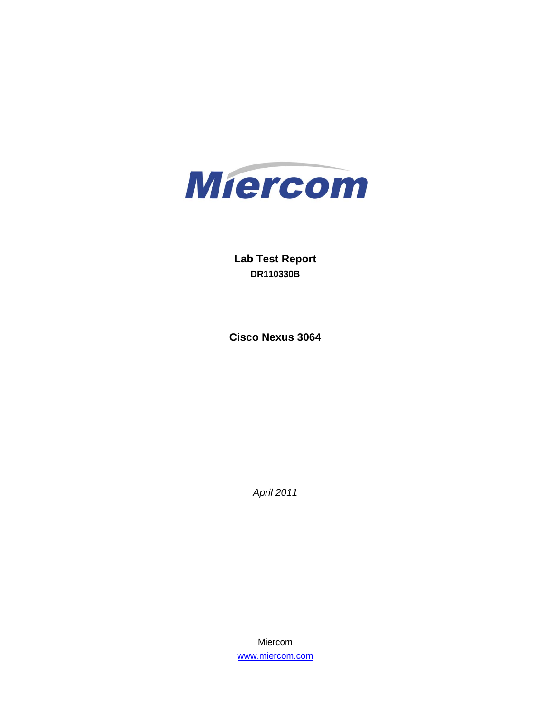

**Lab Test Report DR110330B** 

**Cisco Nexus 3064** 

*April 2011* 

Miercom www.miercom.com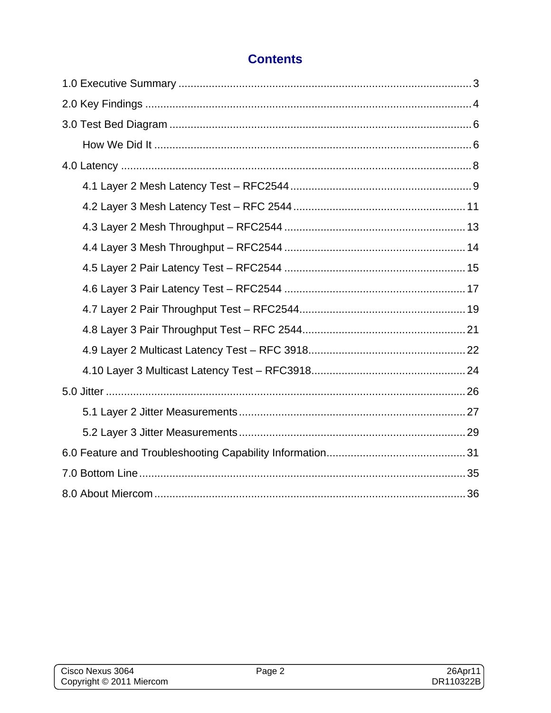## **Contents**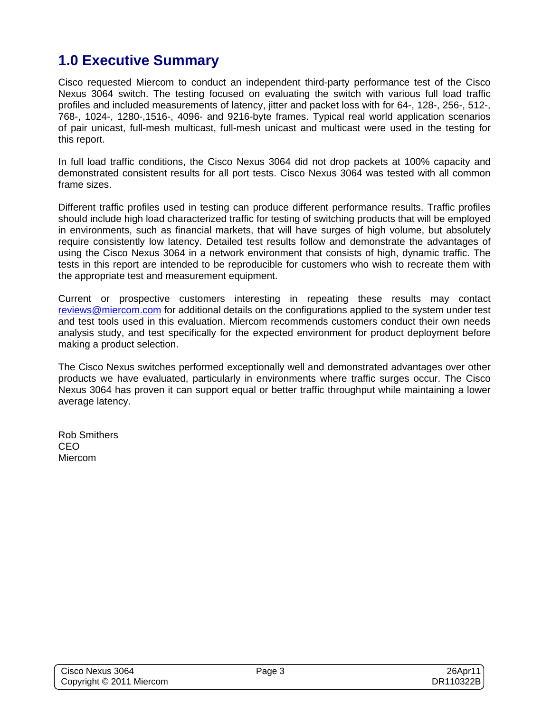# **1.0 Executive Summary**

Cisco requested Miercom to conduct an independent third-party performance test of the Cisco Nexus 3064 switch. The testing focused on evaluating the switch with various full load traffic profiles and included measurements of latency, jitter and packet loss with for 64-, 128-, 256-, 512-, 768-, 1024-, 1280-,1516-, 4096- and 9216-byte frames. Typical real world application scenarios of pair unicast, full-mesh multicast, full-mesh unicast and multicast were used in the testing for this report.

In full load traffic conditions, the Cisco Nexus 3064 did not drop packets at 100% capacity and demonstrated consistent results for all port tests. Cisco Nexus 3064 was tested with all common frame sizes.

Different traffic profiles used in testing can produce different performance results. Traffic profiles should include high load characterized traffic for testing of switching products that will be employed in environments, such as financial markets, that will have surges of high volume, but absolutely require consistently low latency. Detailed test results follow and demonstrate the advantages of using the Cisco Nexus 3064 in a network environment that consists of high, dynamic traffic. The tests in this report are intended to be reproducible for customers who wish to recreate them with the appropriate test and measurement equipment.

Current or prospective customers interesting in repeating these results may contact reviews@miercom.com for additional details on the configurations applied to the system under test and test tools used in this evaluation. Miercom recommends customers conduct their own needs analysis study, and test specifically for the expected environment for product deployment before making a product selection.

The Cisco Nexus switches performed exceptionally well and demonstrated advantages over other products we have evaluated, particularly in environments where traffic surges occur. The Cisco Nexus 3064 has proven it can support equal or better traffic throughput while maintaining a lower average latency.

Rob Smithers CEO Miercom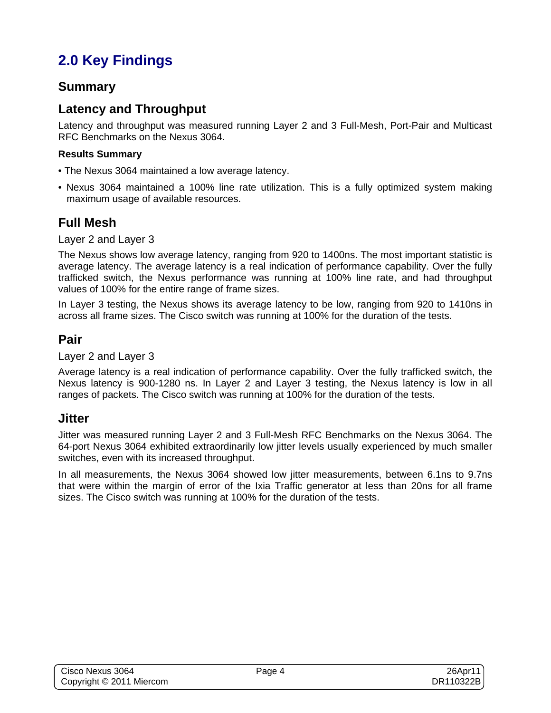# **2.0 Key Findings**

#### **Summary**

### **Latency and Throughput**

Latency and throughput was measured running Layer 2 and 3 Full-Mesh, Port-Pair and Multicast RFC Benchmarks on the Nexus 3064.

#### **Results Summary**

- The Nexus 3064 maintained a low average latency.
- Nexus 3064 maintained a 100% line rate utilization. This is a fully optimized system making maximum usage of available resources.

### **Full Mesh**

Layer 2 and Layer 3

The Nexus shows low average latency, ranging from 920 to 1400ns. The most important statistic is average latency. The average latency is a real indication of performance capability. Over the fully trafficked switch, the Nexus performance was running at 100% line rate, and had throughput values of 100% for the entire range of frame sizes.

In Layer 3 testing, the Nexus shows its average latency to be low, ranging from 920 to 1410ns in across all frame sizes. The Cisco switch was running at 100% for the duration of the tests.

#### **Pair**

Layer 2 and Layer 3

Average latency is a real indication of performance capability. Over the fully trafficked switch, the Nexus latency is 900-1280 ns. In Layer 2 and Layer 3 testing, the Nexus latency is low in all ranges of packets. The Cisco switch was running at 100% for the duration of the tests.

#### **Jitter**

Jitter was measured running Layer 2 and 3 Full-Mesh RFC Benchmarks on the Nexus 3064. The 64-port Nexus 3064 exhibited extraordinarily low jitter levels usually experienced by much smaller switches, even with its increased throughput.

In all measurements, the Nexus 3064 showed low jitter measurements, between 6.1ns to 9.7ns that were within the margin of error of the Ixia Traffic generator at less than 20ns for all frame sizes. The Cisco switch was running at 100% for the duration of the tests.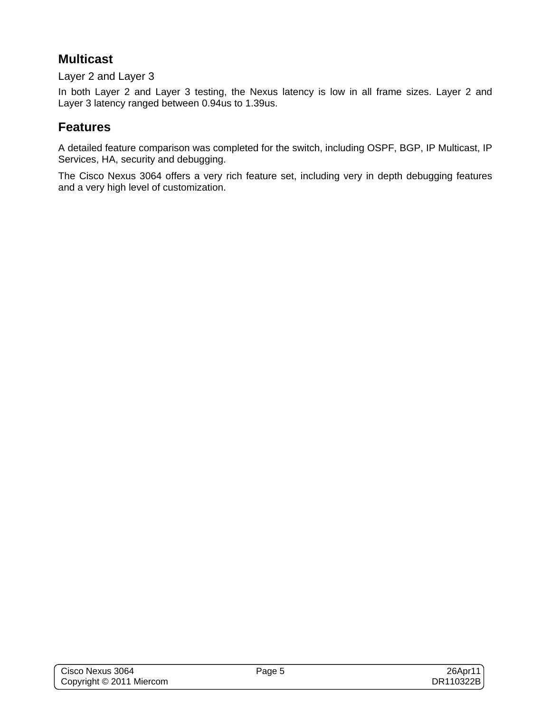## **Multicast**

Layer 2 and Layer 3

In both Layer 2 and Layer 3 testing, the Nexus latency is low in all frame sizes. Layer 2 and Layer 3 latency ranged between 0.94us to 1.39us.

## **Features**

A detailed feature comparison was completed for the switch, including OSPF, BGP, IP Multicast, IP Services, HA, security and debugging.

The Cisco Nexus 3064 offers a very rich feature set, including very in depth debugging features and a very high level of customization.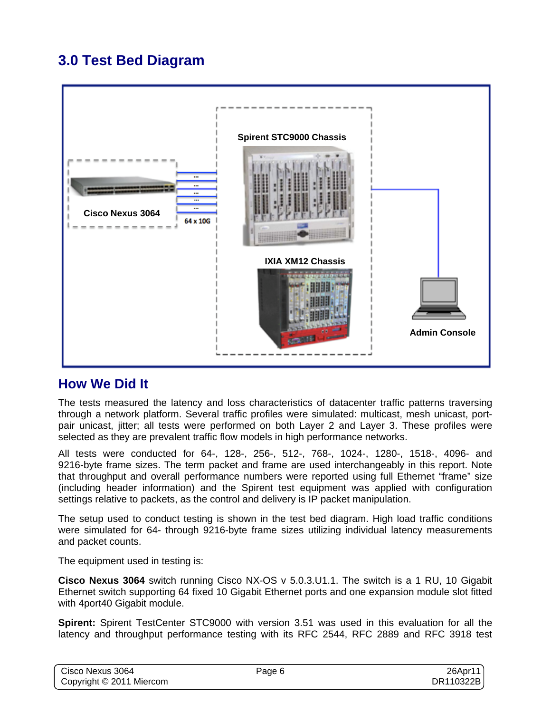# **3.0 Test Bed Diagram**



## **How We Did It**

The tests measured the latency and loss characteristics of datacenter traffic patterns traversing through a network platform. Several traffic profiles were simulated: multicast, mesh unicast, portpair unicast, jitter; all tests were performed on both Layer 2 and Layer 3. These profiles were selected as they are prevalent traffic flow models in high performance networks.

All tests were conducted for 64-, 128-, 256-, 512-, 768-, 1024-, 1280-, 1518-, 4096- and 9216-byte frame sizes. The term packet and frame are used interchangeably in this report. Note that throughput and overall performance numbers were reported using full Ethernet "frame" size (including header information) and the Spirent test equipment was applied with configuration settings relative to packets, as the control and delivery is IP packet manipulation.

The setup used to conduct testing is shown in the test bed diagram. High load traffic conditions were simulated for 64- through 9216-byte frame sizes utilizing individual latency measurements and packet counts.

The equipment used in testing is:

**Cisco Nexus 3064** switch running Cisco NX-OS v 5.0.3.U1.1. The switch is a 1 RU, 10 Gigabit Ethernet switch supporting 64 fixed 10 Gigabit Ethernet ports and one expansion module slot fitted with 4port40 Gigabit module.

**Spirent:** Spirent TestCenter STC9000 with version 3.51 was used in this evaluation for all the latency and throughput performance testing with its RFC 2544, RFC 2889 and RFC 3918 test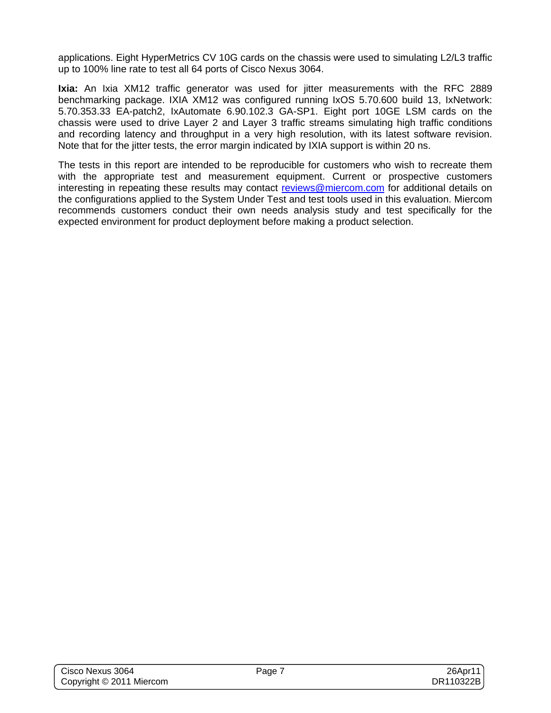applications. Eight HyperMetrics CV 10G cards on the chassis were used to simulating L2/L3 traffic up to 100% line rate to test all 64 ports of Cisco Nexus 3064.

**Ixia:** An Ixia XM12 traffic generator was used for jitter measurements with the RFC 2889 benchmarking package. IXIA XM12 was configured running IxOS 5.70.600 build 13, IxNetwork: 5.70.353.33 EA-patch2, IxAutomate 6.90.102.3 GA-SP1. Eight port 10GE LSM cards on the chassis were used to drive Layer 2 and Layer 3 traffic streams simulating high traffic conditions and recording latency and throughput in a very high resolution, with its latest software revision. Note that for the jitter tests, the error margin indicated by IXIA support is within 20 ns.

The tests in this report are intended to be reproducible for customers who wish to recreate them with the appropriate test and measurement equipment. Current or prospective customers interesting in repeating these results may contact reviews@miercom.com for additional details on the configurations applied to the System Under Test and test tools used in this evaluation. Miercom recommends customers conduct their own needs analysis study and test specifically for the expected environment for product deployment before making a product selection.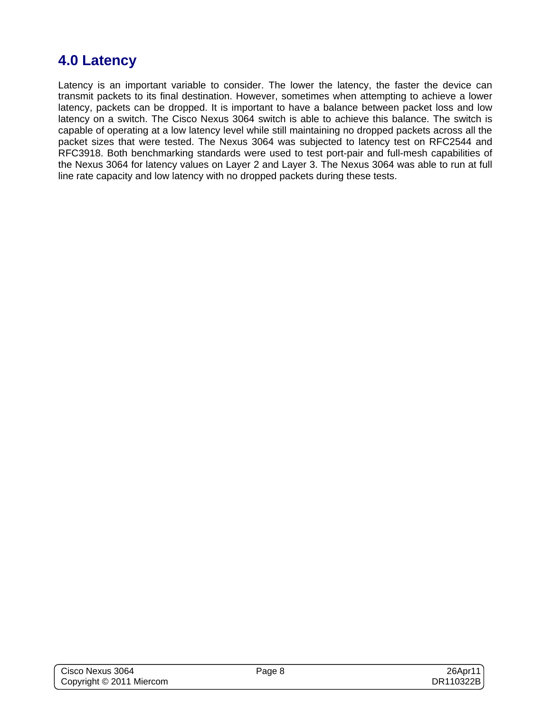# **4.0 Latency**

Latency is an important variable to consider. The lower the latency, the faster the device can transmit packets to its final destination. However, sometimes when attempting to achieve a lower latency, packets can be dropped. It is important to have a balance between packet loss and low latency on a switch. The Cisco Nexus 3064 switch is able to achieve this balance. The switch is capable of operating at a low latency level while still maintaining no dropped packets across all the packet sizes that were tested. The Nexus 3064 was subjected to latency test on RFC2544 and RFC3918. Both benchmarking standards were used to test port-pair and full-mesh capabilities of the Nexus 3064 for latency values on Layer 2 and Layer 3. The Nexus 3064 was able to run at full line rate capacity and low latency with no dropped packets during these tests.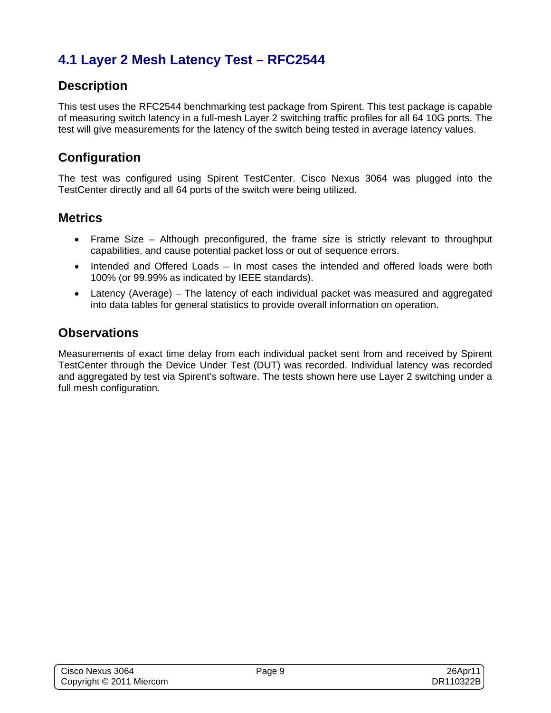# **4.1 Layer 2 Mesh Latency Test – RFC2544**

## **Description**

This test uses the RFC2544 benchmarking test package from Spirent. This test package is capable of measuring switch latency in a full-mesh Layer 2 switching traffic profiles for all 64 10G ports. The test will give measurements for the latency of the switch being tested in average latency values.

## **Configuration**

The test was configured using Spirent TestCenter. Cisco Nexus 3064 was plugged into the TestCenter directly and all 64 ports of the switch were being utilized.

### **Metrics**

- Frame Size Although preconfigured, the frame size is strictly relevant to throughput capabilities, and cause potential packet loss or out of sequence errors.
- Intended and Offered Loads In most cases the intended and offered loads were both 100% (or 99.99% as indicated by IEEE standards).
- Latency (Average) The latency of each individual packet was measured and aggregated into data tables for general statistics to provide overall information on operation.

#### **Observations**

Measurements of exact time delay from each individual packet sent from and received by Spirent TestCenter through the Device Under Test (DUT) was recorded. Individual latency was recorded and aggregated by test via Spirent's software. The tests shown here use Layer 2 switching under a full mesh configuration.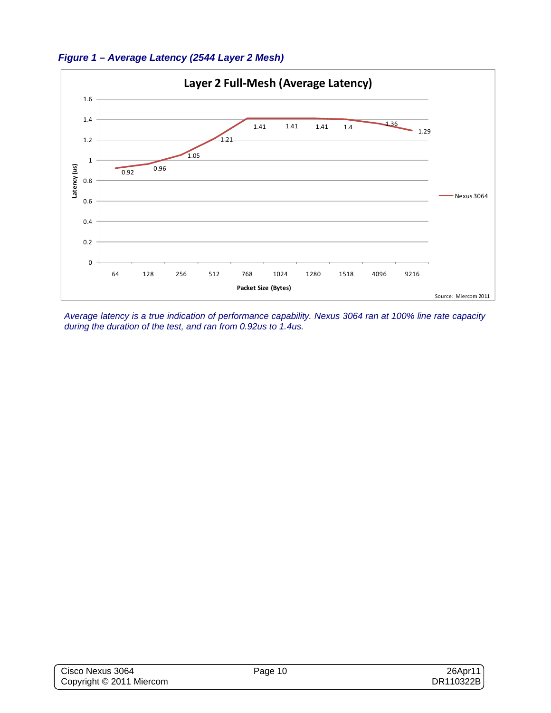



*Average latency is a true indication of performance capability. Nexus 3064 ran at 100% line rate capacity during the duration of the test, and ran from 0.92us to 1.4us.*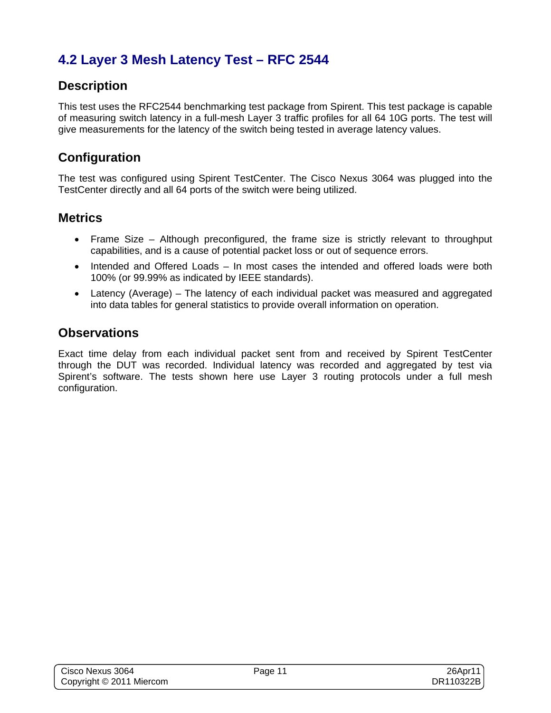# **4.2 Layer 3 Mesh Latency Test – RFC 2544**

## **Description**

This test uses the RFC2544 benchmarking test package from Spirent. This test package is capable of measuring switch latency in a full-mesh Layer 3 traffic profiles for all 64 10G ports. The test will give measurements for the latency of the switch being tested in average latency values.

## **Configuration**

The test was configured using Spirent TestCenter. The Cisco Nexus 3064 was plugged into the TestCenter directly and all 64 ports of the switch were being utilized.

### **Metrics**

- Frame Size Although preconfigured, the frame size is strictly relevant to throughput capabilities, and is a cause of potential packet loss or out of sequence errors.
- Intended and Offered Loads In most cases the intended and offered loads were both 100% (or 99.99% as indicated by IEEE standards).
- Latency (Average) The latency of each individual packet was measured and aggregated into data tables for general statistics to provide overall information on operation.

#### **Observations**

Exact time delay from each individual packet sent from and received by Spirent TestCenter through the DUT was recorded. Individual latency was recorded and aggregated by test via Spirent's software. The tests shown here use Layer 3 routing protocols under a full mesh configuration.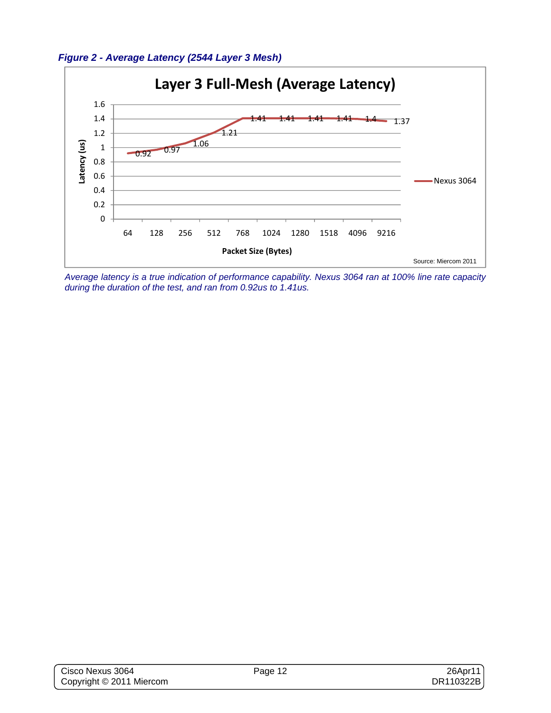



*Average latency is a true indication of performance capability. Nexus 3064 ran at 100% line rate capacity during the duration of the test, and ran from 0.92us to 1.41us.*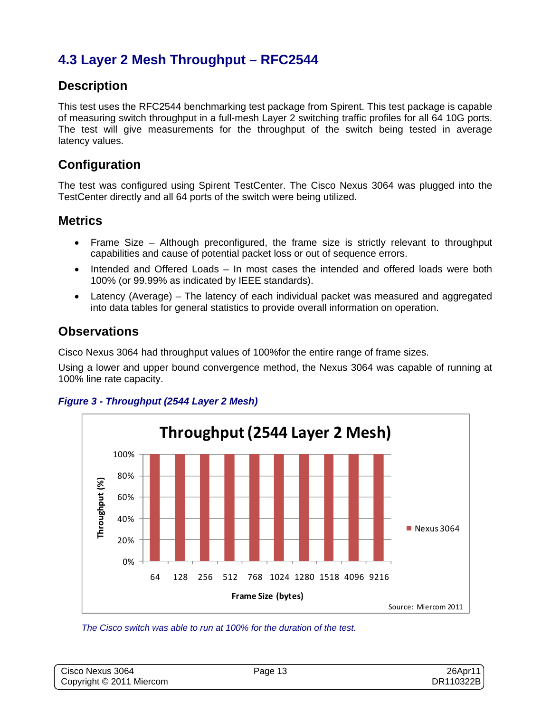## **4.3 Layer 2 Mesh Throughput – RFC2544**

## **Description**

This test uses the RFC2544 benchmarking test package from Spirent. This test package is capable of measuring switch throughput in a full-mesh Layer 2 switching traffic profiles for all 64 10G ports. The test will give measurements for the throughput of the switch being tested in average latency values.

## **Configuration**

The test was configured using Spirent TestCenter. The Cisco Nexus 3064 was plugged into the TestCenter directly and all 64 ports of the switch were being utilized.

### **Metrics**

- Frame Size Although preconfigured, the frame size is strictly relevant to throughput capabilities and cause of potential packet loss or out of sequence errors.
- Intended and Offered Loads In most cases the intended and offered loads were both 100% (or 99.99% as indicated by IEEE standards).
- Latency (Average) The latency of each individual packet was measured and aggregated into data tables for general statistics to provide overall information on operation.

#### **Observations**

Cisco Nexus 3064 had throughput values of 100%for the entire range of frame sizes.

Using a lower and upper bound convergence method, the Nexus 3064 was capable of running at 100% line rate capacity.





*The Cisco switch was able to run at 100% for the duration of the test.*

| Cisco Nexus 3064         | Page 13 | $26$ Apr11 |
|--------------------------|---------|------------|
| Copyright © 2011 Miercom |         | DR110322B  |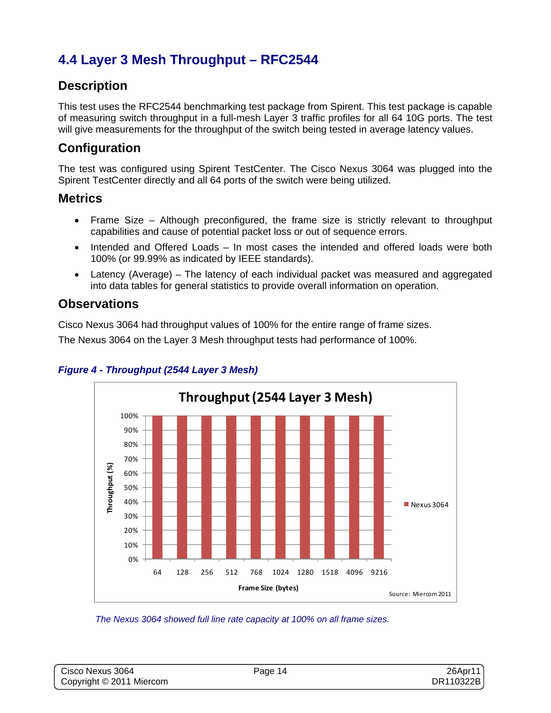# **4.4 Layer 3 Mesh Throughput – RFC2544**

## **Description**

This test uses the RFC2544 benchmarking test package from Spirent. This test package is capable of measuring switch throughput in a full-mesh Layer 3 traffic profiles for all 64 10G ports. The test will give measurements for the throughput of the switch being tested in average latency values.

## **Configuration**

The test was configured using Spirent TestCenter. The Cisco Nexus 3064 was plugged into the Spirent TestCenter directly and all 64 ports of the switch were being utilized.

#### **Metrics**

- Frame Size Although preconfigured, the frame size is strictly relevant to throughput capabilities and cause of potential packet loss or out of sequence errors.
- Intended and Offered Loads In most cases the intended and offered loads were both 100% (or 99.99% as indicated by IEEE standards).
- Latency (Average) The latency of each individual packet was measured and aggregated into data tables for general statistics to provide overall information on operation.

#### **Observations**

Cisco Nexus 3064 had throughput values of 100% for the entire range of frame sizes.

The Nexus 3064 on the Layer 3 Mesh throughput tests had performance of 100%.



#### *Figure 4 - Throughput (2544 Layer 3 Mesh)*

*The Nexus 3064 showed full line rate capacity at 100% on all frame sizes.* 

| Cisco Nexus 3064         | Page 14 | 26Apr11   |
|--------------------------|---------|-----------|
| Copyright © 2011 Miercom |         | DR110322B |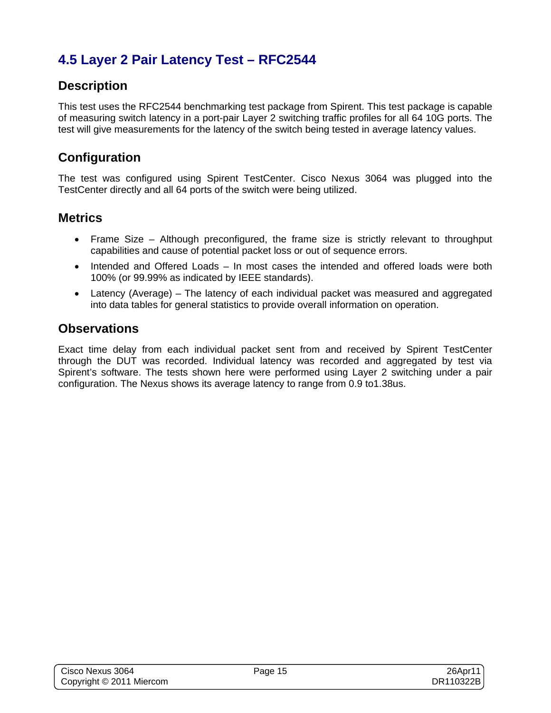# **4.5 Layer 2 Pair Latency Test – RFC2544**

## **Description**

This test uses the RFC2544 benchmarking test package from Spirent. This test package is capable of measuring switch latency in a port-pair Layer 2 switching traffic profiles for all 64 10G ports. The test will give measurements for the latency of the switch being tested in average latency values.

### **Configuration**

The test was configured using Spirent TestCenter. Cisco Nexus 3064 was plugged into the TestCenter directly and all 64 ports of the switch were being utilized.

#### **Metrics**

- Frame Size Although preconfigured, the frame size is strictly relevant to throughput capabilities and cause of potential packet loss or out of sequence errors.
- Intended and Offered Loads In most cases the intended and offered loads were both 100% (or 99.99% as indicated by IEEE standards).
- Latency (Average) The latency of each individual packet was measured and aggregated into data tables for general statistics to provide overall information on operation.

#### **Observations**

Exact time delay from each individual packet sent from and received by Spirent TestCenter through the DUT was recorded. Individual latency was recorded and aggregated by test via Spirent's software. The tests shown here were performed using Layer 2 switching under a pair configuration. The Nexus shows its average latency to range from 0.9 to1.38us.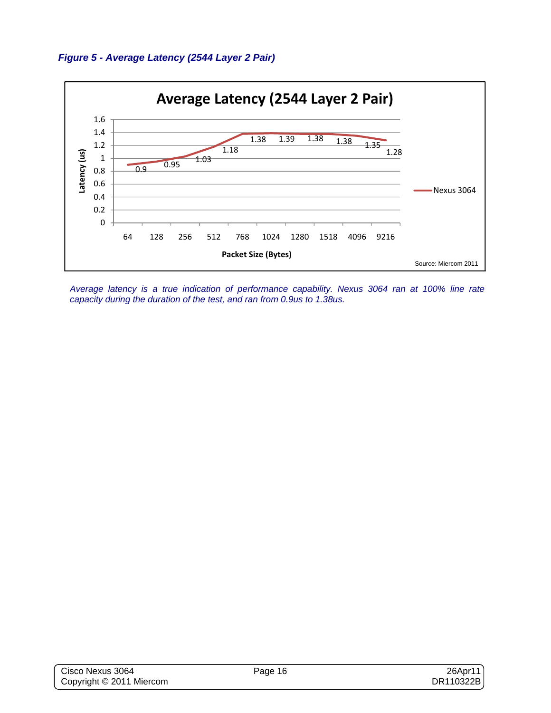



*Average latency is a true indication of performance capability. Nexus 3064 ran at 100% line rate capacity during the duration of the test, and ran from 0.9us to 1.38us.*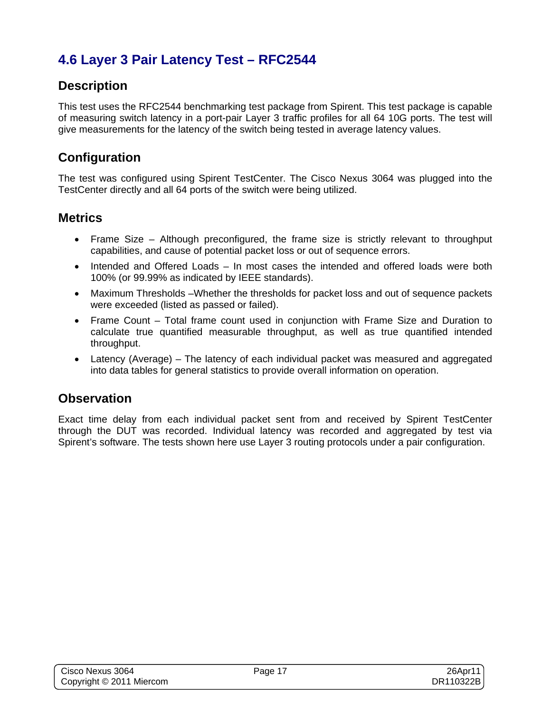# **4.6 Layer 3 Pair Latency Test – RFC2544**

## **Description**

This test uses the RFC2544 benchmarking test package from Spirent. This test package is capable of measuring switch latency in a port-pair Layer 3 traffic profiles for all 64 10G ports. The test will give measurements for the latency of the switch being tested in average latency values.

## **Configuration**

The test was configured using Spirent TestCenter. The Cisco Nexus 3064 was plugged into the TestCenter directly and all 64 ports of the switch were being utilized.

### **Metrics**

- Frame Size Although preconfigured, the frame size is strictly relevant to throughput capabilities, and cause of potential packet loss or out of sequence errors.
- Intended and Offered Loads In most cases the intended and offered loads were both 100% (or 99.99% as indicated by IEEE standards).
- Maximum Thresholds –Whether the thresholds for packet loss and out of sequence packets were exceeded (listed as passed or failed).
- Frame Count Total frame count used in conjunction with Frame Size and Duration to calculate true quantified measurable throughput, as well as true quantified intended throughput.
- Latency (Average) The latency of each individual packet was measured and aggregated into data tables for general statistics to provide overall information on operation.

## **Observation**

Exact time delay from each individual packet sent from and received by Spirent TestCenter through the DUT was recorded. Individual latency was recorded and aggregated by test via Spirent's software. The tests shown here use Layer 3 routing protocols under a pair configuration.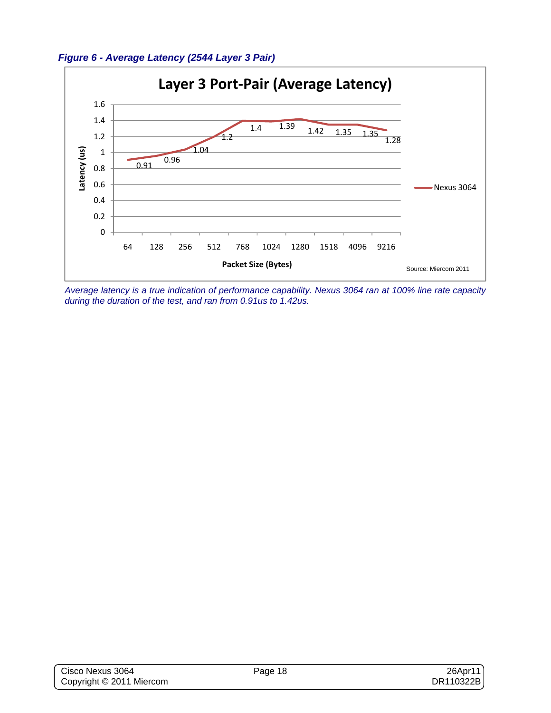



*Average latency is a true indication of performance capability. Nexus 3064 ran at 100% line rate capacity during the duration of the test, and ran from 0.91us to 1.42us.*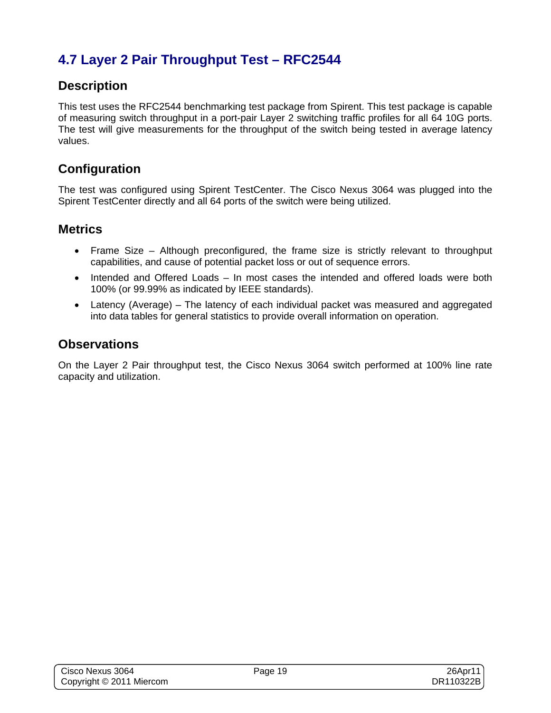# **4.7 Layer 2 Pair Throughput Test – RFC2544**

### **Description**

This test uses the RFC2544 benchmarking test package from Spirent. This test package is capable of measuring switch throughput in a port-pair Layer 2 switching traffic profiles for all 64 10G ports. The test will give measurements for the throughput of the switch being tested in average latency values.

## **Configuration**

The test was configured using Spirent TestCenter. The Cisco Nexus 3064 was plugged into the Spirent TestCenter directly and all 64 ports of the switch were being utilized.

#### **Metrics**

- Frame Size Although preconfigured, the frame size is strictly relevant to throughput capabilities, and cause of potential packet loss or out of sequence errors.
- Intended and Offered Loads In most cases the intended and offered loads were both 100% (or 99.99% as indicated by IEEE standards).
- Latency (Average) The latency of each individual packet was measured and aggregated into data tables for general statistics to provide overall information on operation.

### **Observations**

On the Layer 2 Pair throughput test, the Cisco Nexus 3064 switch performed at 100% line rate capacity and utilization.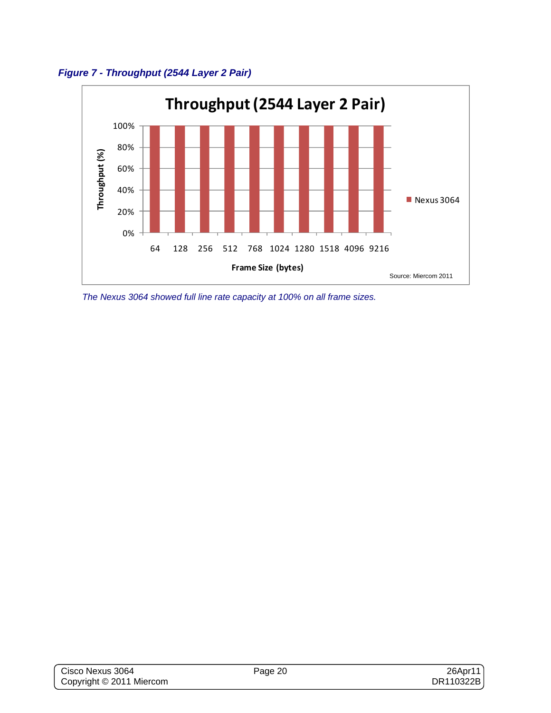



*The Nexus 3064 showed full line rate capacity at 100% on all frame sizes.*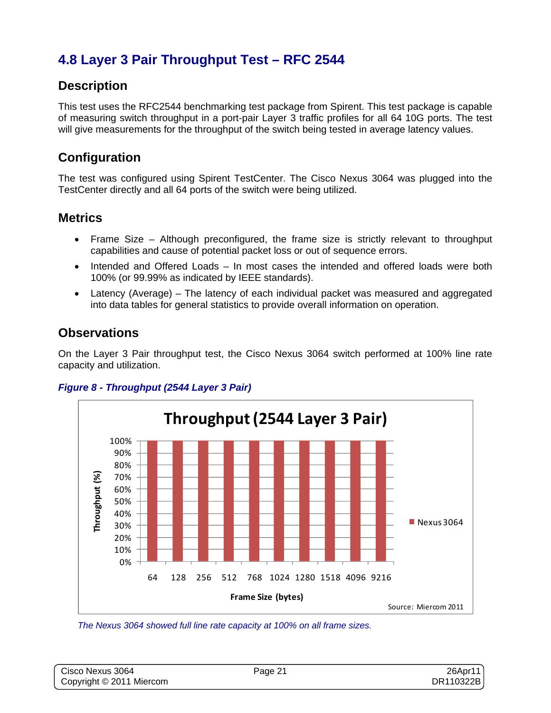## **4.8 Layer 3 Pair Throughput Test – RFC 2544**

## **Description**

This test uses the RFC2544 benchmarking test package from Spirent. This test package is capable of measuring switch throughput in a port-pair Layer 3 traffic profiles for all 64 10G ports. The test will give measurements for the throughput of the switch being tested in average latency values.

## **Configuration**

The test was configured using Spirent TestCenter. The Cisco Nexus 3064 was plugged into the TestCenter directly and all 64 ports of the switch were being utilized.

### **Metrics**

- Frame Size Although preconfigured, the frame size is strictly relevant to throughput capabilities and cause of potential packet loss or out of sequence errors.
- Intended and Offered Loads In most cases the intended and offered loads were both 100% (or 99.99% as indicated by IEEE standards).
- Latency (Average) The latency of each individual packet was measured and aggregated into data tables for general statistics to provide overall information on operation.

#### **Observations**

On the Layer 3 Pair throughput test, the Cisco Nexus 3064 switch performed at 100% line rate capacity and utilization.

#### *Figure 8 - Throughput (2544 Layer 3 Pair)*



*The Nexus 3064 showed full line rate capacity at 100% on all frame sizes.* 

| Cisco Nexus 3064         | Page 21 | 26Apr11   |
|--------------------------|---------|-----------|
| Copyright © 2011 Miercom |         | DR110322B |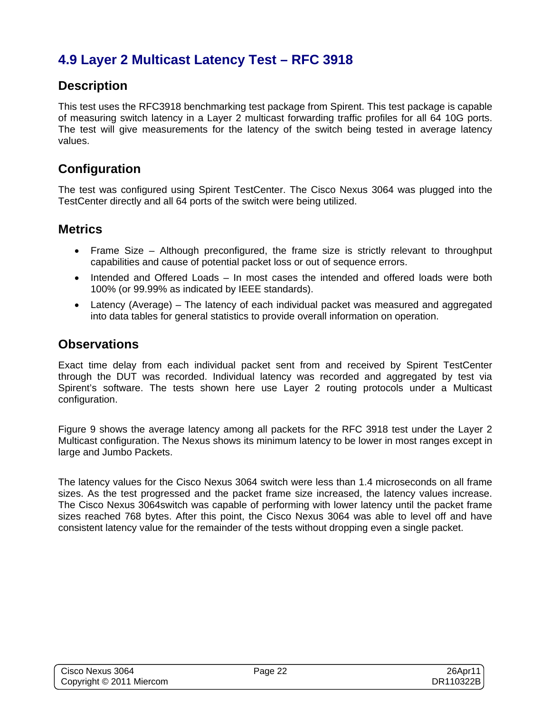## **4.9 Layer 2 Multicast Latency Test – RFC 3918**

### **Description**

This test uses the RFC3918 benchmarking test package from Spirent. This test package is capable of measuring switch latency in a Layer 2 multicast forwarding traffic profiles for all 64 10G ports. The test will give measurements for the latency of the switch being tested in average latency values.

## **Configuration**

The test was configured using Spirent TestCenter. The Cisco Nexus 3064 was plugged into the TestCenter directly and all 64 ports of the switch were being utilized.

#### **Metrics**

- Frame Size Although preconfigured, the frame size is strictly relevant to throughput capabilities and cause of potential packet loss or out of sequence errors.
- Intended and Offered Loads In most cases the intended and offered loads were both 100% (or 99.99% as indicated by IEEE standards).
- Latency (Average) The latency of each individual packet was measured and aggregated into data tables for general statistics to provide overall information on operation.

### **Observations**

Exact time delay from each individual packet sent from and received by Spirent TestCenter through the DUT was recorded. Individual latency was recorded and aggregated by test via Spirent's software. The tests shown here use Layer 2 routing protocols under a Multicast configuration.

Figure 9 shows the average latency among all packets for the RFC 3918 test under the Layer 2 Multicast configuration. The Nexus shows its minimum latency to be lower in most ranges except in large and Jumbo Packets.

The latency values for the Cisco Nexus 3064 switch were less than 1.4 microseconds on all frame sizes. As the test progressed and the packet frame size increased, the latency values increase. The Cisco Nexus 3064switch was capable of performing with lower latency until the packet frame sizes reached 768 bytes. After this point, the Cisco Nexus 3064 was able to level off and have consistent latency value for the remainder of the tests without dropping even a single packet.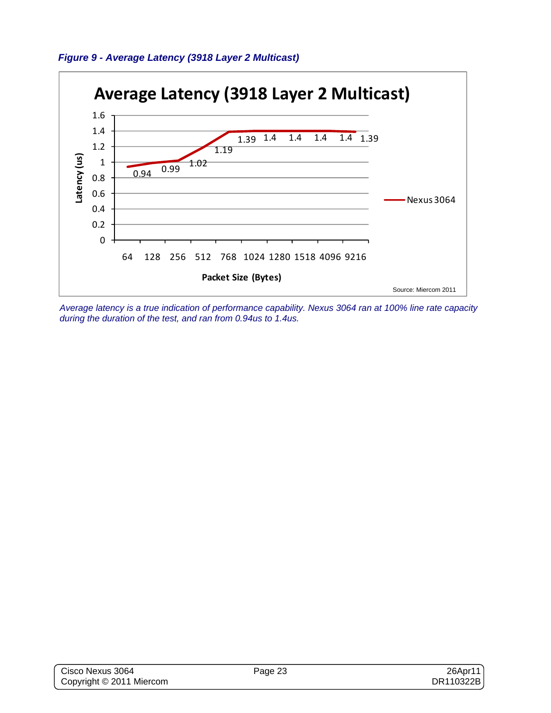



*Average latency is a true indication of performance capability. Nexus 3064 ran at 100% line rate capacity during the duration of the test, and ran from 0.94us to 1.4us.*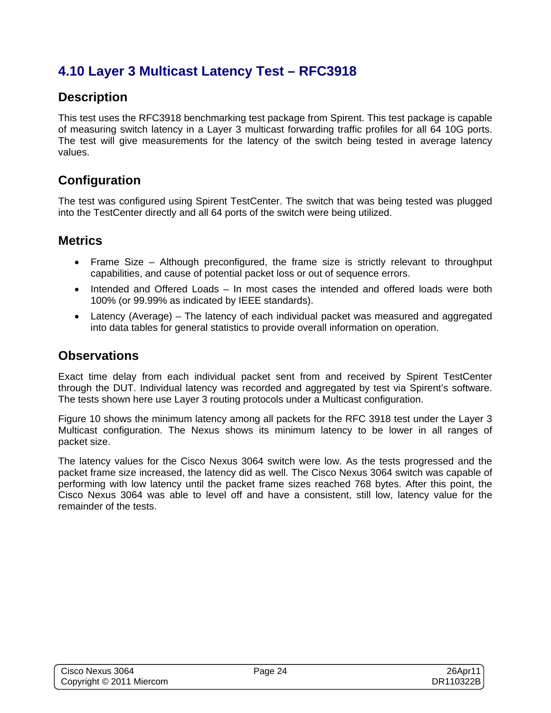## **4.10 Layer 3 Multicast Latency Test – RFC3918**

### **Description**

This test uses the RFC3918 benchmarking test package from Spirent. This test package is capable of measuring switch latency in a Layer 3 multicast forwarding traffic profiles for all 64 10G ports. The test will give measurements for the latency of the switch being tested in average latency values.

### **Configuration**

The test was configured using Spirent TestCenter. The switch that was being tested was plugged into the TestCenter directly and all 64 ports of the switch were being utilized.

#### **Metrics**

- Frame Size Although preconfigured, the frame size is strictly relevant to throughput capabilities, and cause of potential packet loss or out of sequence errors.
- Intended and Offered Loads In most cases the intended and offered loads were both 100% (or 99.99% as indicated by IEEE standards).
- Latency (Average) The latency of each individual packet was measured and aggregated into data tables for general statistics to provide overall information on operation.

#### **Observations**

Exact time delay from each individual packet sent from and received by Spirent TestCenter through the DUT. Individual latency was recorded and aggregated by test via Spirent's software. The tests shown here use Layer 3 routing protocols under a Multicast configuration.

Figure 10 shows the minimum latency among all packets for the RFC 3918 test under the Layer 3 Multicast configuration. The Nexus shows its minimum latency to be lower in all ranges of packet size.

The latency values for the Cisco Nexus 3064 switch were low. As the tests progressed and the packet frame size increased, the latency did as well. The Cisco Nexus 3064 switch was capable of performing with low latency until the packet frame sizes reached 768 bytes. After this point, the Cisco Nexus 3064 was able to level off and have a consistent, still low, latency value for the remainder of the tests.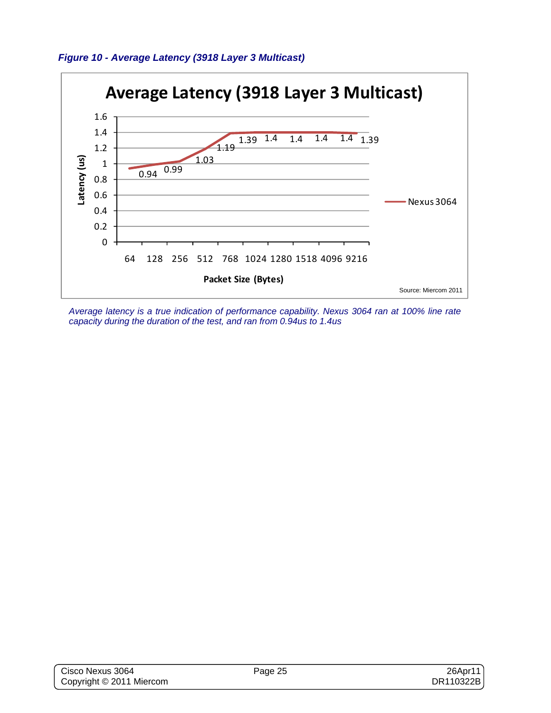



*Average latency is a true indication of performance capability. Nexus 3064 ran at 100% line rate capacity during the duration of the test, and ran from 0.94us to 1.4us*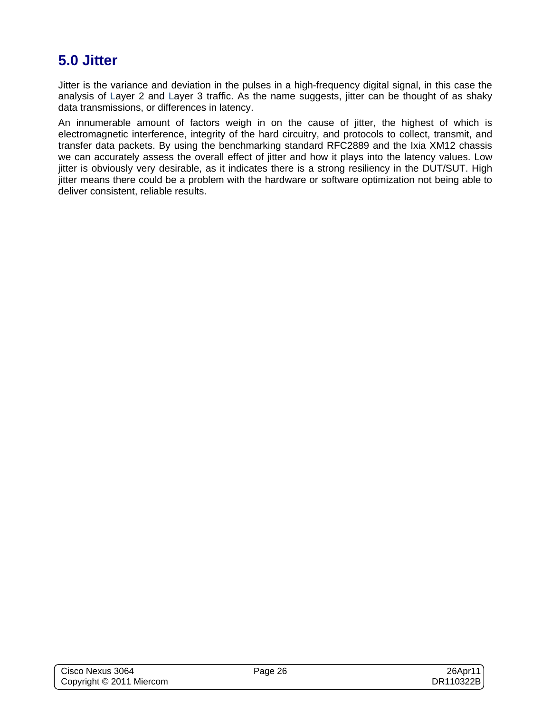# **5.0 Jitter**

Jitter is the variance and deviation in the pulses in a high-frequency digital signal, in this case the analysis of Layer 2 and Layer 3 traffic. As the name suggests, jitter can be thought of as shaky data transmissions, or differences in latency.

An innumerable amount of factors weigh in on the cause of jitter, the highest of which is electromagnetic interference, integrity of the hard circuitry, and protocols to collect, transmit, and transfer data packets. By using the benchmarking standard RFC2889 and the Ixia XM12 chassis we can accurately assess the overall effect of jitter and how it plays into the latency values. Low jitter is obviously very desirable, as it indicates there is a strong resiliency in the DUT/SUT. High jitter means there could be a problem with the hardware or software optimization not being able to deliver consistent, reliable results.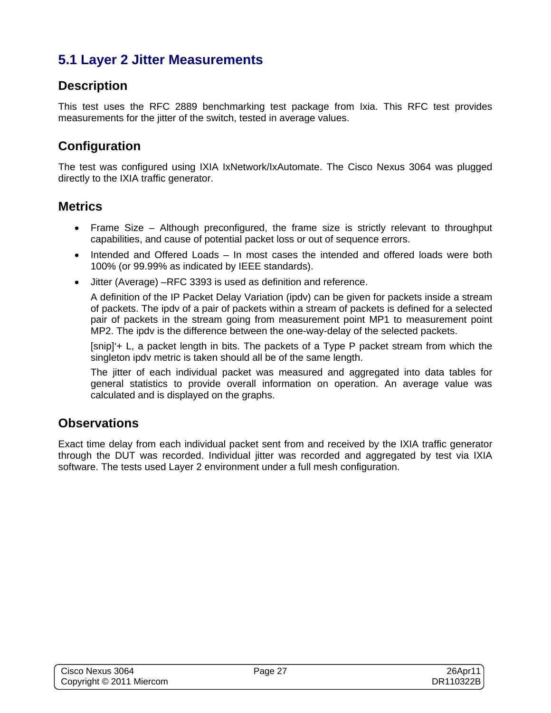## **5.1 Layer 2 Jitter Measurements**

## **Description**

This test uses the RFC 2889 benchmarking test package from Ixia. This RFC test provides measurements for the jitter of the switch, tested in average values.

## **Configuration**

The test was configured using IXIA IxNetwork/IxAutomate. The Cisco Nexus 3064 was plugged directly to the IXIA traffic generator.

### **Metrics**

- Frame Size Although preconfigured, the frame size is strictly relevant to throughput capabilities, and cause of potential packet loss or out of sequence errors.
- Intended and Offered Loads In most cases the intended and offered loads were both 100% (or 99.99% as indicated by IEEE standards).
- Jitter (Average) –RFC 3393 is used as definition and reference.

A definition of the IP Packet Delay Variation (ipdv) can be given for packets inside a stream of packets. The ipdv of a pair of packets within a stream of packets is defined for a selected pair of packets in the stream going from measurement point MP1 to measurement point MP2. The ipdv is the difference between the one-way-delay of the selected packets.

[snip]'+ L, a packet length in bits. The packets of a Type P packet stream from which the singleton ipdv metric is taken should all be of the same length.

The jitter of each individual packet was measured and aggregated into data tables for general statistics to provide overall information on operation. An average value was calculated and is displayed on the graphs.

### **Observations**

Exact time delay from each individual packet sent from and received by the IXIA traffic generator through the DUT was recorded. Individual jitter was recorded and aggregated by test via IXIA software. The tests used Layer 2 environment under a full mesh configuration.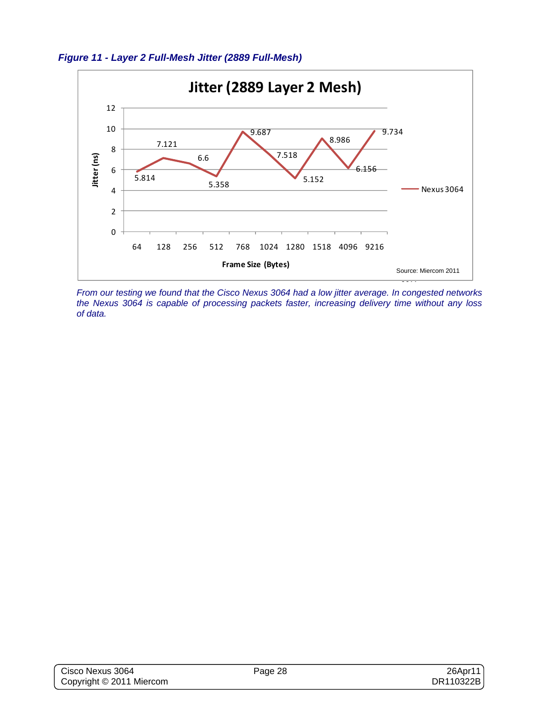



*From our testing we found that the Cisco Nexus 3064 had a low jitter average. In congested networks the Nexus 3064 is capable of processing packets faster, increasing delivery time without any loss of data.*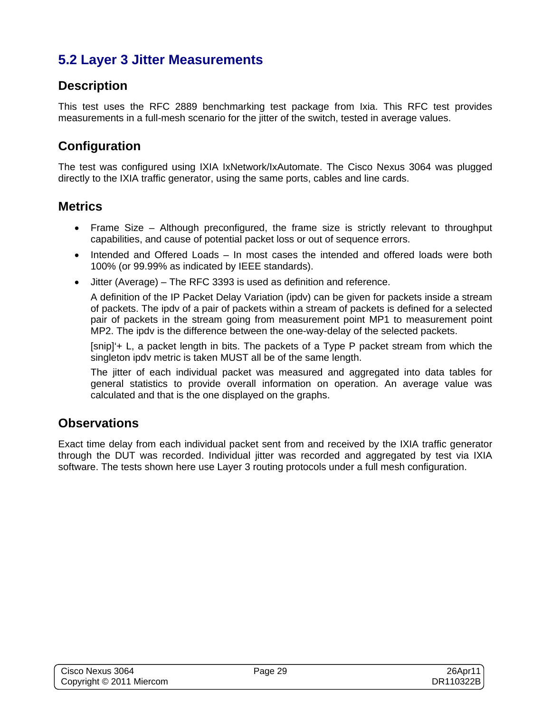## **5.2 Layer 3 Jitter Measurements**

## **Description**

This test uses the RFC 2889 benchmarking test package from Ixia. This RFC test provides measurements in a full-mesh scenario for the jitter of the switch, tested in average values.

## **Configuration**

The test was configured using IXIA IxNetwork/IxAutomate. The Cisco Nexus 3064 was plugged directly to the IXIA traffic generator, using the same ports, cables and line cards.

### **Metrics**

- Frame Size Although preconfigured, the frame size is strictly relevant to throughput capabilities, and cause of potential packet loss or out of sequence errors.
- Intended and Offered Loads In most cases the intended and offered loads were both 100% (or 99.99% as indicated by IEEE standards).
- Jitter (Average) The RFC 3393 is used as definition and reference.

A definition of the IP Packet Delay Variation (ipdv) can be given for packets inside a stream of packets. The ipdv of a pair of packets within a stream of packets is defined for a selected pair of packets in the stream going from measurement point MP1 to measurement point MP2. The ipdv is the difference between the one-way-delay of the selected packets.

[snip]'+ L, a packet length in bits. The packets of a Type P packet stream from which the singleton ipdv metric is taken MUST all be of the same length.

The jitter of each individual packet was measured and aggregated into data tables for general statistics to provide overall information on operation. An average value was calculated and that is the one displayed on the graphs.

### **Observations**

Exact time delay from each individual packet sent from and received by the IXIA traffic generator through the DUT was recorded. Individual jitter was recorded and aggregated by test via IXIA software. The tests shown here use Layer 3 routing protocols under a full mesh configuration.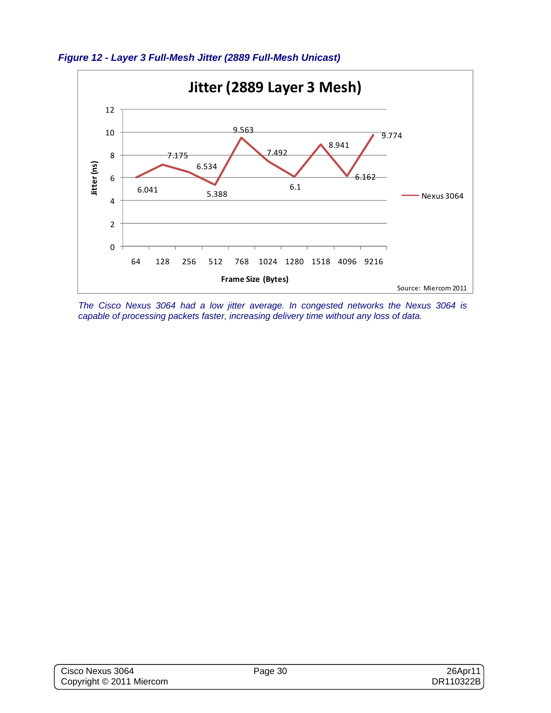

*The Cisco Nexus 3064 had a low jitter average. In congested networks the Nexus 3064 is capable of processing packets faster, increasing delivery time without any loss of data.* 

*Figure 12 - Layer 3 Full-Mesh Jitter (2889 Full-Mesh Unicast)*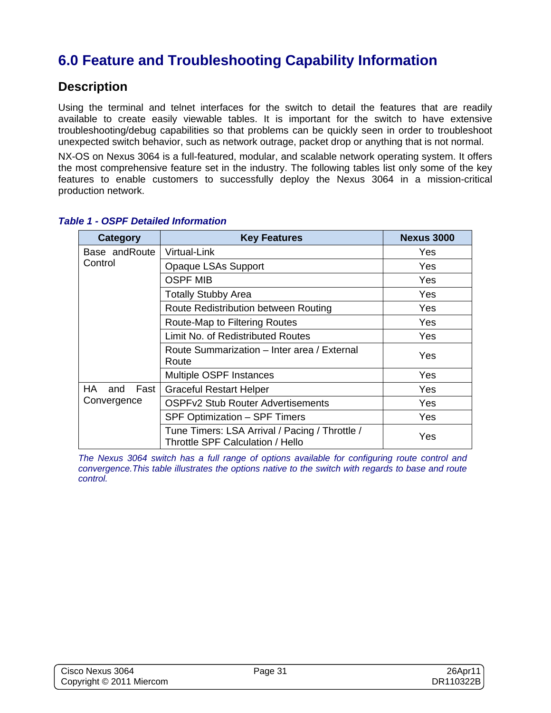# **6.0 Feature and Troubleshooting Capability Information**

#### **Description**

Using the terminal and telnet interfaces for the switch to detail the features that are readily available to create easily viewable tables. It is important for the switch to have extensive troubleshooting/debug capabilities so that problems can be quickly seen in order to troubleshoot unexpected switch behavior, such as network outrage, packet drop or anything that is not normal.

NX-OS on Nexus 3064 is a full-featured, modular, and scalable network operating system. It offers the most comprehensive feature set in the industry. The following tables list only some of the key features to enable customers to successfully deploy the Nexus 3064 in a mission-critical production network.

| Category             | <b>Key Features</b>                                                                | <b>Nexus 3000</b> |
|----------------------|------------------------------------------------------------------------------------|-------------------|
| Base and Route       | Virtual-Link                                                                       | Yes               |
| Control              | Opaque LSAs Support                                                                | Yes               |
|                      | <b>OSPF MIB</b>                                                                    | Yes               |
|                      | <b>Totally Stubby Area</b>                                                         | Yes               |
|                      | Route Redistribution between Routing                                               | Yes               |
|                      | Route-Map to Filtering Routes                                                      | Yes               |
|                      | Limit No. of Redistributed Routes                                                  | Yes               |
|                      | Route Summarization - Inter area / External<br>Route                               | Yes               |
|                      | <b>Multiple OSPF Instances</b>                                                     | Yes               |
| HA.<br>Fast I<br>and | <b>Graceful Restart Helper</b>                                                     | Yes               |
| Convergence          | <b>OSPFv2 Stub Router Advertisements</b>                                           | Yes               |
|                      | SPF Optimization - SPF Timers                                                      | Yes               |
|                      | Tune Timers: LSA Arrival / Pacing / Throttle /<br>Throttle SPF Calculation / Hello | Yes               |

#### *Table 1 - OSPF Detailed Information*

*The Nexus 3064 switch has a full range of options available for configuring route control and convergence.This table illustrates the options native to the switch with regards to base and route control.*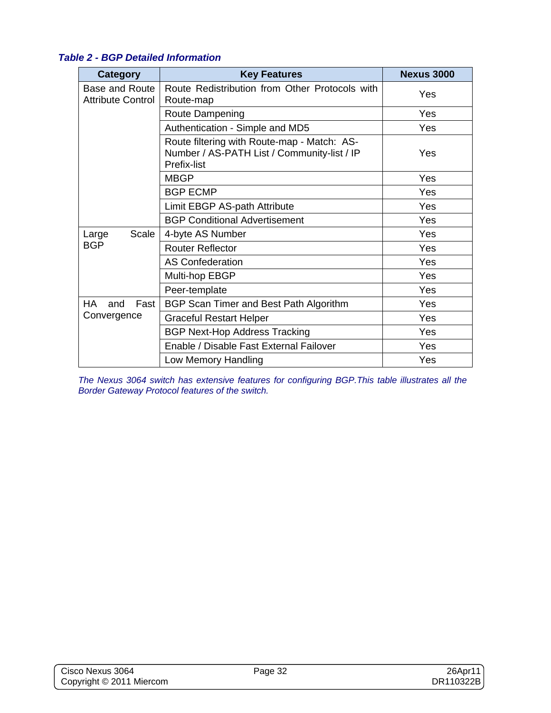| Category                                   | <b>Key Features</b>                                                                                              | <b>Nexus 3000</b> |
|--------------------------------------------|------------------------------------------------------------------------------------------------------------------|-------------------|
| Base and Route<br><b>Attribute Control</b> | Route Redistribution from Other Protocols with<br>Route-map                                                      | Yes               |
|                                            | Route Dampening                                                                                                  | Yes               |
|                                            | Authentication - Simple and MD5                                                                                  | Yes               |
|                                            | Route filtering with Route-map - Match: AS-<br>Number / AS-PATH List / Community-list / IP<br><b>Prefix-list</b> | Yes               |
|                                            | <b>MBGP</b>                                                                                                      | Yes               |
|                                            | <b>BGP ECMP</b>                                                                                                  | Yes               |
|                                            | Limit EBGP AS-path Attribute                                                                                     | Yes               |
|                                            | <b>BGP Conditional Advertisement</b>                                                                             | Yes               |
| Scale<br>Large                             | 4-byte AS Number                                                                                                 | Yes               |
| <b>BGP</b>                                 | <b>Router Reflector</b>                                                                                          | Yes               |
|                                            | <b>AS Confederation</b>                                                                                          | Yes               |
|                                            | Multi-hop EBGP                                                                                                   | Yes               |
|                                            | Peer-template                                                                                                    | Yes               |
| HA.<br>Fast<br>and                         | BGP Scan Timer and Best Path Algorithm                                                                           | Yes               |
| Convergence                                | <b>Graceful Restart Helper</b>                                                                                   | Yes               |
|                                            | <b>BGP Next-Hop Address Tracking</b>                                                                             | Yes               |
|                                            | Enable / Disable Fast External Failover                                                                          | Yes               |
|                                            | Low Memory Handling                                                                                              | Yes               |

#### *Table 2 - BGP Detailed Information*

*The Nexus 3064 switch has extensive features for configuring BGP.This table illustrates all the Border Gateway Protocol features of the switch.*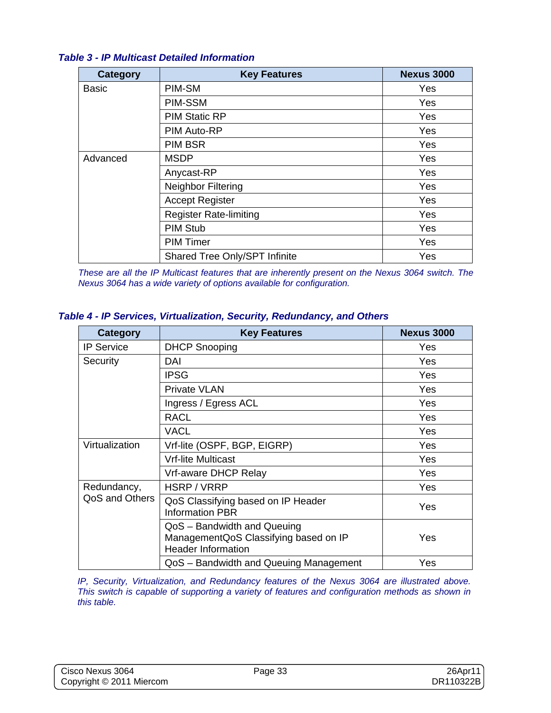#### *Table 3 - IP Multicast Detailed Information*

| <b>Category</b> | <b>Key Features</b>           | <b>Nexus 3000</b> |
|-----------------|-------------------------------|-------------------|
| <b>Basic</b>    | PIM-SM                        | Yes               |
|                 | PIM-SSM                       | Yes               |
|                 | <b>PIM Static RP</b>          | Yes               |
|                 | PIM Auto-RP                   | Yes               |
|                 | <b>PIM BSR</b>                | Yes               |
| Advanced        | <b>MSDP</b>                   | Yes               |
|                 | Anycast-RP                    | Yes               |
|                 | Neighbor Filtering            | Yes               |
|                 | <b>Accept Register</b>        | Yes               |
|                 | <b>Register Rate-limiting</b> | Yes               |
|                 | <b>PIM Stub</b>               | Yes               |
|                 | <b>PIM Timer</b>              | Yes               |
|                 | Shared Tree Only/SPT Infinite | Yes               |

*These are all the IP Multicast features that are inherently present on the Nexus 3064 switch. The Nexus 3064 has a wide variety of options available for configuration.* 

#### *Table 4 - IP Services, Virtualization, Security, Redundancy, and Others*

| <b>Category</b>   | <b>Key Features</b>                                                                               | <b>Nexus 3000</b> |
|-------------------|---------------------------------------------------------------------------------------------------|-------------------|
| <b>IP Service</b> | <b>DHCP Snooping</b>                                                                              | Yes               |
| Security          | DAI                                                                                               | Yes               |
|                   | <b>IPSG</b>                                                                                       | <b>Yes</b>        |
|                   | <b>Private VLAN</b>                                                                               | Yes               |
|                   | Ingress / Egress ACL                                                                              | Yes               |
|                   | <b>RACL</b>                                                                                       | Yes               |
|                   | VACL                                                                                              | Yes               |
| Virtualization    | Vrf-lite (OSPF, BGP, EIGRP)                                                                       | Yes               |
|                   | <b>Vrf-lite Multicast</b>                                                                         | <b>Yes</b>        |
|                   | Vrf-aware DHCP Relay                                                                              | <b>Yes</b>        |
| Redundancy,       | HSRP / VRRP                                                                                       | Yes               |
| QoS and Others    | QoS Classifying based on IP Header<br><b>Information PBR</b>                                      | Yes               |
|                   | QoS - Bandwidth and Queuing<br>ManagementQoS Classifying based on IP<br><b>Header Information</b> | Yes               |
|                   | QoS - Bandwidth and Queuing Management                                                            | Yes               |

*IP, Security, Virtualization, and Redundancy features of the Nexus 3064 are illustrated above. This switch is capable of supporting a variety of features and configuration methods as shown in this table.*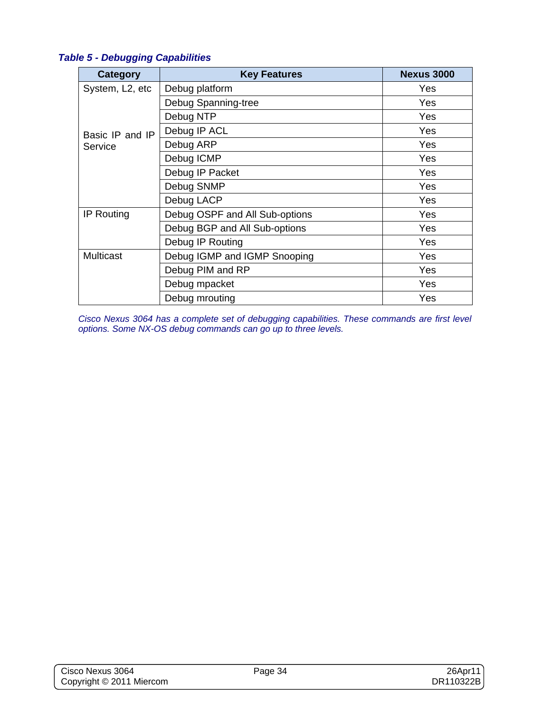#### *Table 5 - Debugging Capabilities*

| Category          | <b>Key Features</b>            | <b>Nexus 3000</b> |
|-------------------|--------------------------------|-------------------|
| System, L2, etc   | Debug platform                 | Yes               |
|                   | Debug Spanning-tree            | Yes               |
|                   | Debug NTP                      | Yes               |
| Basic IP and IP   | Debug IP ACL                   | Yes               |
| Service           | Debug ARP                      | Yes               |
|                   | Debug ICMP                     | Yes               |
|                   | Debug IP Packet                | Yes               |
|                   | Debug SNMP                     | Yes               |
|                   | Debug LACP                     | Yes               |
| <b>IP Routing</b> | Debug OSPF and All Sub-options | Yes               |
|                   | Debug BGP and All Sub-options  | Yes               |
|                   | Debug IP Routing               | Yes               |
| <b>Multicast</b>  | Debug IGMP and IGMP Snooping   | Yes               |
|                   | Debug PIM and RP               | Yes               |
|                   | Debug mpacket                  | Yes               |
|                   | Debug mrouting                 | Yes               |

*Cisco Nexus 3064 has a complete set of debugging capabilities. These commands are first level options. Some NX-OS debug commands can go up to three levels.*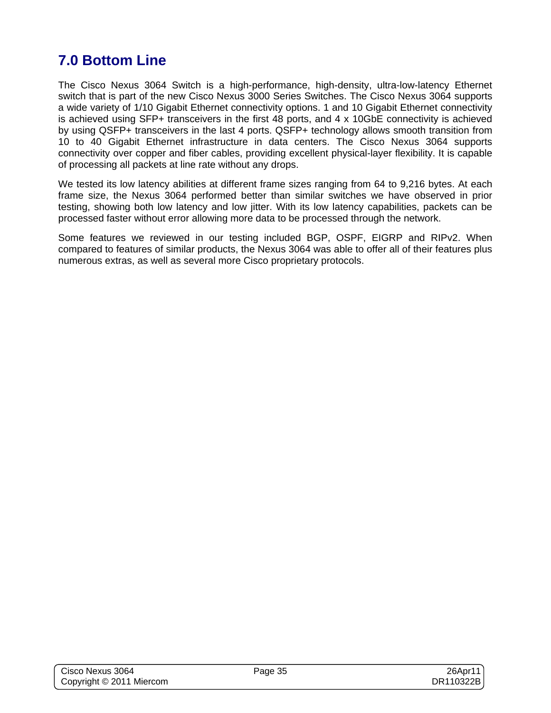# **7.0 Bottom Line**

The Cisco Nexus 3064 Switch is a high-performance, high-density, ultra-low-latency Ethernet switch that is part of the new Cisco Nexus 3000 Series Switches. The Cisco Nexus 3064 supports a wide variety of 1/10 Gigabit Ethernet connectivity options. 1 and 10 Gigabit Ethernet connectivity is achieved using SFP+ transceivers in the first 48 ports, and 4 x 10GbE connectivity is achieved by using QSFP+ transceivers in the last 4 ports. QSFP+ technology allows smooth transition from 10 to 40 Gigabit Ethernet infrastructure in data centers. The Cisco Nexus 3064 supports connectivity over copper and fiber cables, providing excellent physical-layer flexibility. It is capable of processing all packets at line rate without any drops.

We tested its low latency abilities at different frame sizes ranging from 64 to 9,216 bytes. At each frame size, the Nexus 3064 performed better than similar switches we have observed in prior testing, showing both low latency and low jitter. With its low latency capabilities, packets can be processed faster without error allowing more data to be processed through the network.

Some features we reviewed in our testing included BGP, OSPF, EIGRP and RIPv2. When compared to features of similar products, the Nexus 3064 was able to offer all of their features plus numerous extras, as well as several more Cisco proprietary protocols.